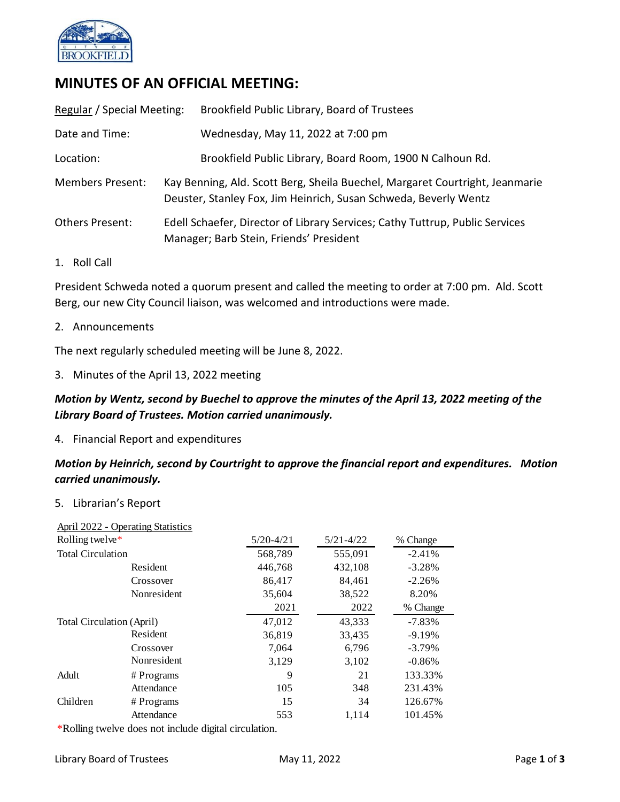

# **MINUTES OF AN OFFICIAL MEETING:**

| Regular / Special Meeting: |                                                                                                                                                  | Brookfield Public Library, Board of Trustees              |
|----------------------------|--------------------------------------------------------------------------------------------------------------------------------------------------|-----------------------------------------------------------|
| Date and Time:             |                                                                                                                                                  | Wednesday, May 11, 2022 at 7:00 pm                        |
| Location:                  |                                                                                                                                                  | Brookfield Public Library, Board Room, 1900 N Calhoun Rd. |
| <b>Members Present:</b>    | Kay Benning, Ald. Scott Berg, Sheila Buechel, Margaret Courtright, Jeanmarie<br>Deuster, Stanley Fox, Jim Heinrich, Susan Schweda, Beverly Wentz |                                                           |
| <b>Others Present:</b>     | Edell Schaefer, Director of Library Services; Cathy Tuttrup, Public Services<br>Manager; Barb Stein, Friends' President                          |                                                           |

1. Roll Call

President Schweda noted a quorum present and called the meeting to order at 7:00 pm. Ald. Scott Berg, our new City Council liaison, was welcomed and introductions were made.

2. Announcements

The next regularly scheduled meeting will be June 8, 2022.

3. Minutes of the April 13, 2022 meeting

## *Motion by Wentz, second by Buechel to approve the minutes of the April 13, 2022 meeting of the Library Board of Trustees. Motion carried unanimously.*

4. Financial Report and expenditures

## *Motion by Heinrich, second by Courtright to approve the financial report and expenditures. Motion carried unanimously.*

5. Librarian's Report

|                                  | <b>April 2022 - Operating Statistics</b> |               |               |           |
|----------------------------------|------------------------------------------|---------------|---------------|-----------|
| Rolling twelve*                  |                                          | $5/20 - 4/21$ | $5/21 - 4/22$ | % Change  |
| <b>Total Circulation</b>         |                                          | 568,789       | 555,091       | $-2.41%$  |
|                                  | Resident                                 | 446,768       | 432,108       | $-3.28%$  |
|                                  | Crossover                                | 86,417        | 84,461        | $-2.26%$  |
|                                  | Nonresident                              | 35,604        | 38,522        | 8.20%     |
|                                  |                                          | 2021          | 2022          | % Change  |
| <b>Total Circulation (April)</b> |                                          | 47,012        | 43,333        | $-7.83\%$ |
|                                  | Resident                                 | 36,819        | 33,435        | $-9.19%$  |
|                                  | Crossover                                | 7,064         | 6,796         | $-3.79%$  |
|                                  | Nonresident                              | 3,129         | 3,102         | $-0.86%$  |
| Adult                            | # Programs                               | 9             | 21            | 133.33%   |
|                                  | Attendance                               | 105           | 348           | 231.43%   |
| Children                         | # Programs                               | 15            | 34            | 126.67%   |
|                                  | Attendance                               | 553           | 1,114         | 101.45%   |
|                                  |                                          |               |               |           |

\*Rolling twelve does not include digital circulation.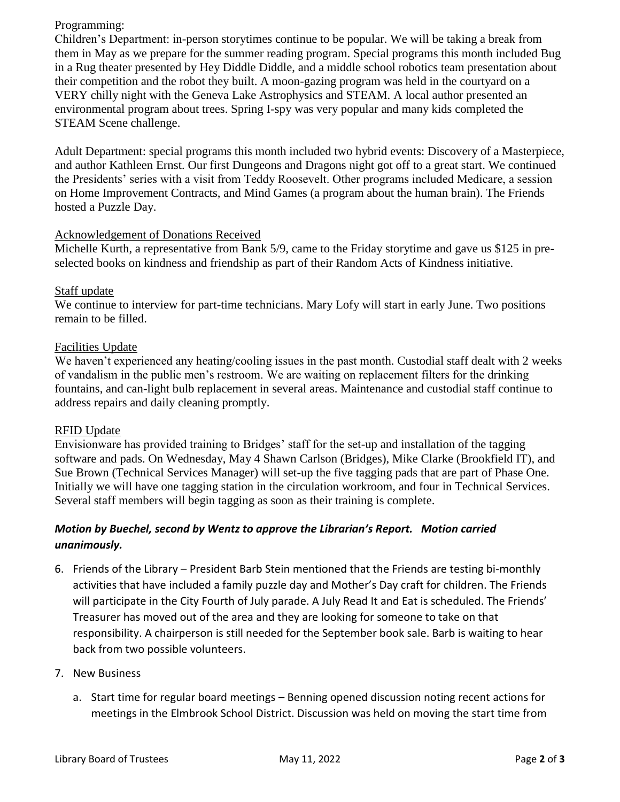### Programming:

Children's Department: in-person storytimes continue to be popular. We will be taking a break from them in May as we prepare for the summer reading program. Special programs this month included Bug in a Rug theater presented by Hey Diddle Diddle, and a middle school robotics team presentation about their competition and the robot they built. A moon-gazing program was held in the courtyard on a VERY chilly night with the Geneva Lake Astrophysics and STEAM. A local author presented an environmental program about trees. Spring I-spy was very popular and many kids completed the STEAM Scene challenge.

Adult Department: special programs this month included two hybrid events: Discovery of a Masterpiece, and author Kathleen Ernst. Our first Dungeons and Dragons night got off to a great start. We continued the Presidents' series with a visit from Teddy Roosevelt. Other programs included Medicare, a session on Home Improvement Contracts, and Mind Games (a program about the human brain). The Friends hosted a Puzzle Day.

### Acknowledgement of Donations Received

Michelle Kurth, a representative from Bank 5/9, came to the Friday storytime and gave us \$125 in preselected books on kindness and friendship as part of their Random Acts of Kindness initiative.

### Staff update

We continue to interview for part-time technicians. Mary Lofy will start in early June. Two positions remain to be filled.

### Facilities Update

We haven't experienced any heating/cooling issues in the past month. Custodial staff dealt with 2 weeks of vandalism in the public men's restroom. We are waiting on replacement filters for the drinking fountains, and can-light bulb replacement in several areas. Maintenance and custodial staff continue to address repairs and daily cleaning promptly.

#### RFID Update

Envisionware has provided training to Bridges' staff for the set-up and installation of the tagging software and pads. On Wednesday, May 4 Shawn Carlson (Bridges), Mike Clarke (Brookfield IT), and Sue Brown (Technical Services Manager) will set-up the five tagging pads that are part of Phase One. Initially we will have one tagging station in the circulation workroom, and four in Technical Services. Several staff members will begin tagging as soon as their training is complete.

## *Motion by Buechel, second by Wentz to approve the Librarian's Report. Motion carried unanimously.*

- 6. Friends of the Library President Barb Stein mentioned that the Friends are testing bi-monthly activities that have included a family puzzle day and Mother's Day craft for children. The Friends will participate in the City Fourth of July parade. A July Read It and Eat is scheduled. The Friends' Treasurer has moved out of the area and they are looking for someone to take on that responsibility. A chairperson is still needed for the September book sale. Barb is waiting to hear back from two possible volunteers.
- 7. New Business
	- a. Start time for regular board meetings Benning opened discussion noting recent actions for meetings in the Elmbrook School District. Discussion was held on moving the start time from